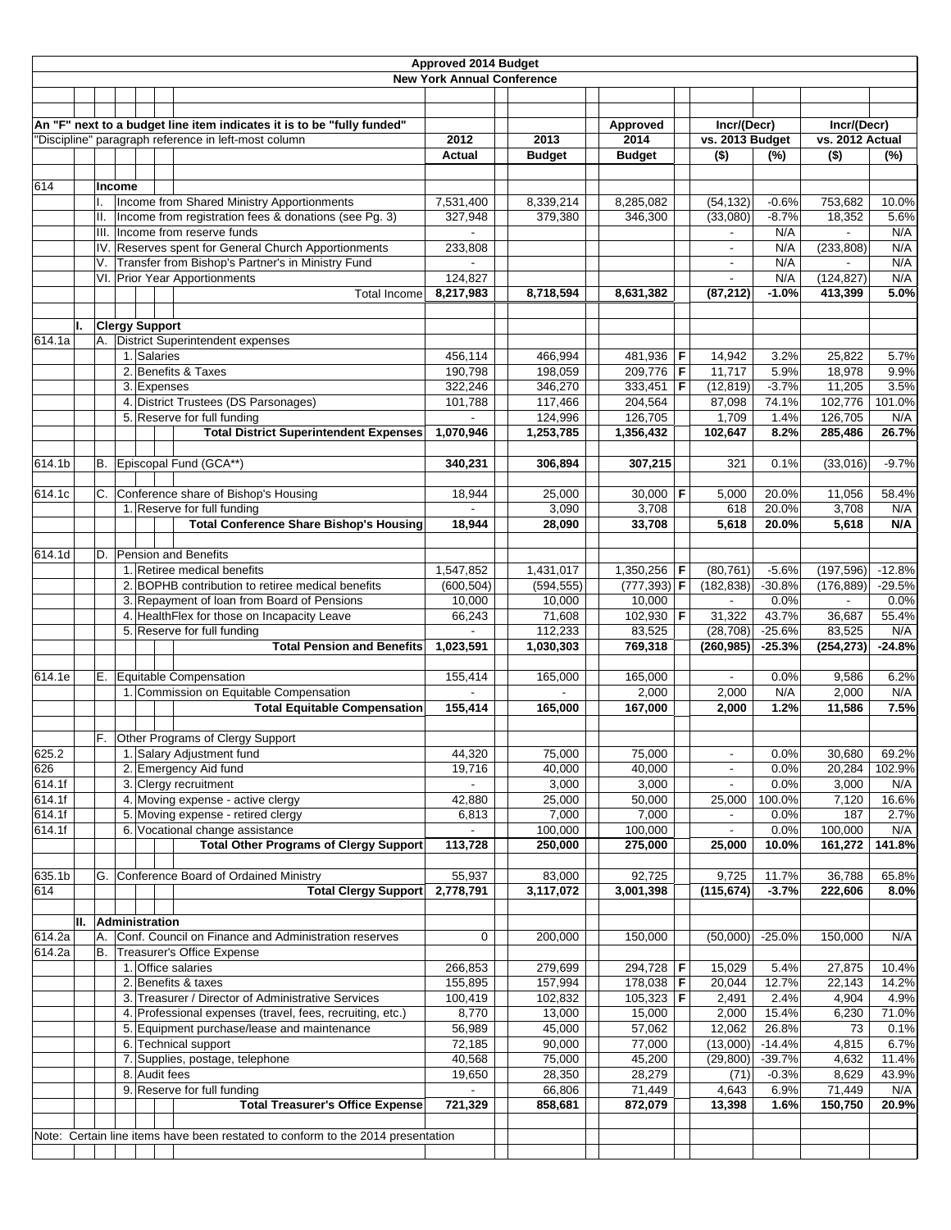| Approved 2014 Budget |    |     |                                                                                |                                                                                                          |                                   |                    |                    |                  |                          |                  |                   |               |
|----------------------|----|-----|--------------------------------------------------------------------------------|----------------------------------------------------------------------------------------------------------|-----------------------------------|--------------------|--------------------|------------------|--------------------------|------------------|-------------------|---------------|
|                      |    |     |                                                                                |                                                                                                          | <b>New York Annual Conference</b> |                    |                    |                  |                          |                  |                   |               |
|                      |    |     |                                                                                |                                                                                                          |                                   |                    |                    |                  |                          |                  |                   |               |
|                      |    |     |                                                                                | An "F" next to a budget line item indicates it is to be "fully funded"                                   |                                   |                    | Approved           |                  | Incr/(Decr)              |                  | Incr/(Decr)       |               |
|                      |    |     |                                                                                | "Discipline" paragraph reference in left-most column                                                     | 2012                              | 2013               | 2014               |                  | vs. 2013 Budget          |                  | vs. 2012 Actual   |               |
|                      |    |     |                                                                                |                                                                                                          | Actual                            | <b>Budget</b>      | <b>Budget</b>      |                  | $($ \$)                  | (%)              | $($ \$)           | (%)           |
|                      |    |     |                                                                                |                                                                                                          |                                   |                    |                    |                  |                          |                  |                   |               |
| 614                  |    |     | Income                                                                         |                                                                                                          |                                   |                    |                    |                  |                          |                  |                   |               |
|                      |    |     |                                                                                | Income from Shared Ministry Apportionments                                                               | 7,531,400                         | 8,339,214          | 8,285,082          |                  | (54, 132)                | $-0.6%$          | 753,682           | 10.0%         |
|                      |    | II. |                                                                                | Income from registration fees & donations (see Pg. 3)                                                    | 327,948                           | 379,380            | 346,300            |                  | (33,080)                 | $-8.7%$          | 18,352            | 5.6%          |
|                      |    |     |                                                                                | III. Income from reserve funds<br>IV. Reserves spent for General Church Apportionments                   | 233,808                           |                    |                    |                  |                          | N/A              |                   | N/A<br>N/A    |
|                      |    | V.  |                                                                                | Transfer from Bishop's Partner's in Ministry Fund                                                        |                                   |                    |                    |                  | $\blacksquare$           | N/A<br>N/A       | (233, 808)        | N/A           |
|                      |    |     |                                                                                | VI. Prior Year Apportionments                                                                            | 124,827                           |                    |                    |                  |                          | N/A              | (124, 827)        | N/A           |
|                      |    |     |                                                                                | <b>Total Income</b>                                                                                      | 8,217,983                         | 8,718,594          | 8,631,382          |                  | (87, 212)                | $-1.0%$          | 413,399           | 5.0%          |
|                      |    |     |                                                                                |                                                                                                          |                                   |                    |                    |                  |                          |                  |                   |               |
|                      | ı. |     | <b>Clergy Support</b>                                                          |                                                                                                          |                                   |                    |                    |                  |                          |                  |                   |               |
| 614.1a               |    |     |                                                                                | A. District Superintendent expenses                                                                      |                                   |                    |                    |                  |                          |                  |                   |               |
|                      |    |     | 1. Salaries                                                                    |                                                                                                          | 456,114                           | 466,994            | 481,936            | F                | 14,942                   | 3.2%             | 25,822            | 5.7%          |
|                      |    |     | 3. Expenses                                                                    | 2. Benefits & Taxes                                                                                      | 190,798                           | 198,059            | 209,776<br>333,451 | $\mathsf F$<br>F | 11,717                   | 5.9%             | 18,978            | 9.9%<br>3.5%  |
|                      |    |     |                                                                                | 4. District Trustees (DS Parsonages)                                                                     | 322,246<br>101,788                | 346,270<br>117,466 | 204,564            |                  | (12, 819)<br>87,098      | $-3.7%$<br>74.1% | 11,205<br>102,776 | 101.0%        |
|                      |    |     |                                                                                | 5. Reserve for full funding                                                                              |                                   | 124,996            | 126,705            |                  | 1,709                    | 1.4%             | 126.705           | N/A           |
|                      |    |     |                                                                                | <b>Total District Superintendent Expenses</b>                                                            | 1,070,946                         | 1,253,785          | 1,356,432          |                  | 102,647                  | 8.2%             | 285,486           | 26.7%         |
|                      |    |     |                                                                                |                                                                                                          |                                   |                    |                    |                  |                          |                  |                   |               |
| $\overline{6}$ 14.1b |    |     |                                                                                | B. Episcopal Fund (GCA**)                                                                                | 340,231                           | 306,894            | 307,215            |                  | 321                      | 0.1%             | (33,016)          | $-9.7%$       |
| 614.1c               |    | C.  |                                                                                | Conference share of Bishop's Housing                                                                     | 18,944                            | 25,000             | 30,000             | F                | 5,000                    | 20.0%            | 11,056            | 58.4%         |
|                      |    |     |                                                                                | 1. Reserve for full funding                                                                              |                                   | 3,090              | 3,708              |                  | 618                      | 20.0%            | 3,708             | N/A           |
|                      |    |     |                                                                                | <b>Total Conference Share Bishop's Housing</b>                                                           | 18,944                            | 28,090             | 33,708             |                  | 5,618                    | 20.0%            | 5,618             | N/A           |
| 614.1d               |    |     |                                                                                | D. Pension and Benefits                                                                                  |                                   |                    |                    |                  |                          |                  |                   |               |
|                      |    |     |                                                                                | 1. Retiree medical benefits                                                                              | 1,547,852                         | 1,431,017          | 1,350,256          | F                | (80, 761)                | $-5.6%$          | (197, 596)        | $-12.8%$      |
|                      |    |     |                                                                                | 2. BOPHB contribution to retiree medical benefits                                                        | (600, 504)                        | (594, 555)         | $(777, 393)$ F     |                  | (182, 838)               | $-30.8%$         | (176, 889)        | $-29.5%$      |
|                      |    |     |                                                                                | 3. Repayment of loan from Board of Pensions                                                              | 10,000                            | 10,000             | 10,000             |                  | $\overline{\phantom{a}}$ | 0.0%             |                   | 0.0%          |
|                      |    |     |                                                                                | 4. HealthFlex for those on Incapacity Leave                                                              | 66,243                            | 71,608             | 102,930            | F                | 31,322                   | 43.7%            | 36,687            | 55.4%         |
|                      |    |     |                                                                                | 5. Reserve for full funding                                                                              |                                   | 112,233            | 83,525             |                  | (28, 708)                | $-25.6%$         | 83,525            | N/A           |
|                      |    |     |                                                                                | <b>Total Pension and Benefits</b>                                                                        | 1,023,591                         | 1,030,303          | 769,318            |                  | (260, 985)               | $-25.3%$         | (254, 273)        | $-24.8%$      |
| 614.1e               |    | Е.  |                                                                                | Equitable Compensation                                                                                   | 155,414                           | 165,000            | 165,000            |                  | $\blacksquare$           | 0.0%             | 9,586             | 6.2%          |
|                      |    |     | 1. Commission on Equitable Compensation<br><b>Total Equitable Compensation</b> |                                                                                                          |                                   |                    | 2,000              |                  | 2,000                    | N/A              | 2,000             | N/A           |
|                      |    |     |                                                                                |                                                                                                          | 155,414                           | 165,000            | 167,000            |                  | 2,000                    | 1.2%             | 11,586            | 7.5%          |
|                      |    |     |                                                                                |                                                                                                          |                                   |                    |                    |                  |                          |                  |                   |               |
|                      |    | F.  |                                                                                | Other Programs of Clergy Support                                                                         |                                   |                    |                    |                  |                          |                  |                   |               |
| 625.2                |    |     |                                                                                | 1. Salary Adjustment fund                                                                                | 44,320                            | 75,000             | 75,000             |                  |                          | 0.0%             | 30,680            | 69.2%         |
| 626                  |    |     |                                                                                | 2. Emergency Aid fund                                                                                    | 19,716                            | 40,000             | 40,000             |                  | $\overline{\phantom{a}}$ | 0.0%             | 20,284            | 102.9%        |
| 614.1f<br>614.1f     |    |     |                                                                                | 3. Clergy recruitment<br>4. Moving expense - active clergy                                               | 42,880                            | 3,000<br>25,000    | 3,000<br>50,000    |                  | 25,000                   | 0.0%<br>100.0%   | 3,000<br>7,120    | N/A<br>16.6%  |
| 614.1f               |    |     |                                                                                | 5. Moving expense - retired clergy                                                                       | 6,813                             | 7,000              | 7,000              |                  |                          | 0.0%             | 187               | 2.7%          |
| 614.1f               |    |     |                                                                                | 6. Vocational change assistance                                                                          | $\blacksquare$                    | 100,000            | 100,000            |                  | $\overline{\phantom{a}}$ | 0.0%             | 100,000           | N/A           |
|                      |    |     |                                                                                | <b>Total Other Programs of Clergy Support</b>                                                            | 113,728                           | 250,000            | 275,000            |                  | 25,000                   | 10.0%            | 161,272           | 141.8%        |
|                      |    |     |                                                                                |                                                                                                          |                                   |                    |                    |                  |                          |                  |                   |               |
| 635.1b               |    |     |                                                                                | G. Conference Board of Ordained Ministry                                                                 | 55,937                            | 83,000             | 92,725             |                  | 9,725                    | 11.7%            | 36,788            | 65.8%         |
| 614                  |    |     |                                                                                | <b>Total Clergy Support</b>                                                                              | 2,778,791                         | 3,117,072          | 3,001,398          |                  | (115, 674)               | $-3.7%$          | 222,606           | 8.0%          |
|                      | н. |     | Administration                                                                 |                                                                                                          |                                   |                    |                    |                  |                          |                  |                   |               |
| 614.2a               |    | А.  |                                                                                | Conf. Council on Finance and Administration reserves                                                     | 0                                 | 200,000            | 150,000            |                  | (50,000)                 | $-25.0%$         | 150,000           | N/A           |
| 614.2a               |    | В.  |                                                                                | Treasurer's Office Expense                                                                               |                                   |                    |                    |                  |                          |                  |                   |               |
|                      |    |     | 1. Office salaries                                                             |                                                                                                          | 266,853                           | 279,699            | 294,728            | F                | 15,029                   | 5.4%             | 27,875            | 10.4%         |
|                      |    |     |                                                                                | 2. Benefits & taxes                                                                                      | 155,895                           | 157,994            | 178,038   <b>F</b> |                  | 20,044                   | 12.7%            | 22,143            | 14.2%         |
|                      |    |     |                                                                                | 3. Treasurer / Director of Administrative Services                                                       | 100,419                           | 102,832            | 105,323            | F                | 2,491                    | 2.4%             | 4,904             | 4.9%          |
|                      |    |     |                                                                                | 4. Professional expenses (travel, fees, recruiting, etc.)<br>5. Equipment purchase/lease and maintenance | 8,770<br>56,989                   | 13,000<br>45,000   | 15,000<br>57,062   |                  | 2,000<br>12,062          | 15.4%<br>26.8%   | 6,230<br>73       | 71.0%<br>0.1% |
|                      |    |     |                                                                                | 6. Technical support                                                                                     | 72,185                            | 90,000             | 77,000             |                  | (13,000)                 | $-14.4%$         | 4,815             | 6.7%          |
|                      |    |     |                                                                                | 7. Supplies, postage, telephone                                                                          | 40,568                            | 75,000             | 45,200             |                  | (29, 800)                | $-39.7%$         | 4,632             | 11.4%         |
|                      |    |     | 8. Audit fees                                                                  |                                                                                                          | 19,650                            | 28,350             | 28,279             |                  | (71)                     | $-0.3%$          | 8,629             | 43.9%         |
|                      |    |     |                                                                                | 9. Reserve for full funding                                                                              |                                   | 66,806             | 71,449             |                  | 4,643                    | 6.9%             | 71,449            | N/A           |
|                      |    |     |                                                                                | <b>Total Treasurer's Office Expense</b>                                                                  | 721,329                           | 858,681            | 872,079            |                  | 13,398                   | 1.6%             | 150,750           | 20.9%         |
|                      |    |     |                                                                                |                                                                                                          |                                   |                    |                    |                  |                          |                  |                   |               |
|                      |    |     |                                                                                | Note: Certain line items have been restated to conform to the 2014 presentation                          |                                   |                    |                    |                  |                          |                  |                   |               |
|                      |    |     |                                                                                |                                                                                                          |                                   |                    |                    |                  |                          |                  |                   |               |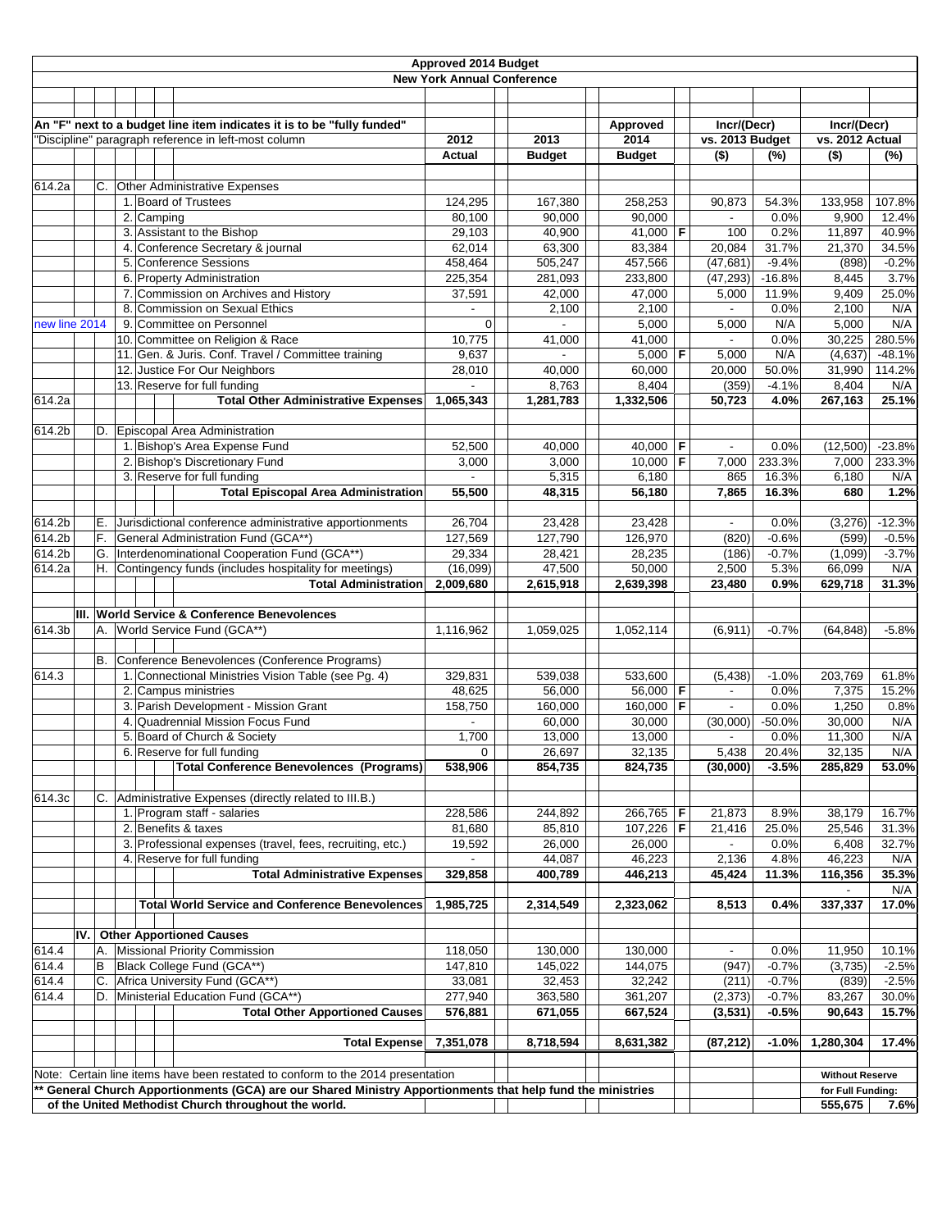| Approved 2014 Budget |     |     |  |            |                                                                                                             |                                   |                   |                   |  |                             |                  |                        |                |
|----------------------|-----|-----|--|------------|-------------------------------------------------------------------------------------------------------------|-----------------------------------|-------------------|-------------------|--|-----------------------------|------------------|------------------------|----------------|
|                      |     |     |  |            |                                                                                                             | <b>New York Annual Conference</b> |                   |                   |  |                             |                  |                        |                |
|                      |     |     |  |            |                                                                                                             |                                   |                   |                   |  |                             |                  |                        |                |
|                      |     |     |  |            |                                                                                                             |                                   |                   |                   |  |                             |                  |                        |                |
|                      |     |     |  |            | An "F" next to a budget line item indicates it is to be "fully funded"                                      |                                   |                   | Approved          |  | Incr/(Decr)                 |                  | Incr/(Decr)            |                |
|                      |     |     |  |            | 'Discipline" paragraph reference in left-most column                                                        | 2012                              | 2013              | 2014              |  | vs. 2013 Budget             |                  | vs. 2012 Actual        |                |
|                      |     |     |  |            |                                                                                                             | Actual                            | <b>Budget</b>     | <b>Budget</b>     |  | $($ \$)                     | (%)              | $($ \$)                | (%)            |
|                      |     |     |  |            |                                                                                                             |                                   |                   |                   |  |                             |                  |                        |                |
| 614.2a               |     | С.  |  |            | <b>Other Administrative Expenses</b>                                                                        |                                   |                   |                   |  |                             |                  |                        |                |
|                      |     |     |  |            | 1. Board of Trustees                                                                                        | 124,295                           | 167,380           | 258,253           |  | 90,873                      | 54.3%            | 133,958                | 107.8%         |
|                      |     |     |  | 2. Camping | 3. Assistant to the Bishop                                                                                  | 80,100                            | 90,000<br>40,900  | 90,000            |  |                             | 0.0%             | 9,900                  | 12.4%          |
|                      |     |     |  |            | 4. Conference Secretary & journal                                                                           | 29,103<br>62,014                  |                   | 41,000   <b>F</b> |  | 100<br>20,084               | 0.2%             | 11,897                 | 40.9%<br>34.5% |
|                      |     |     |  |            | 5. Conference Sessions                                                                                      | 458,464                           | 63,300<br>505,247 | 83,384<br>457,566 |  | (47, 681)                   | 31.7%<br>$-9.4%$ | 21,370<br>(898)        | $-0.2%$        |
|                      |     |     |  |            | 6. Property Administration                                                                                  | 225,354                           | 281,093           | 233,800           |  | (47, 293)                   | $-16.8%$         | 8,445                  | 3.7%           |
|                      |     |     |  |            | 7. Commission on Archives and History                                                                       | 37,591                            | 42,000            | 47,000            |  | 5,000                       | 11.9%            | 9,409                  | 25.0%          |
|                      |     |     |  |            | 8. Commission on Sexual Ethics                                                                              | $\overline{a}$                    | 2,100             | 2,100             |  | $\mathcal{L}_{\mathcal{A}}$ | 0.0%             | 2,100                  | N/A            |
| new line 2014        |     |     |  |            | 9. Committee on Personnel                                                                                   | 0                                 |                   | 5,000             |  | 5,000                       | N/A              | 5,000                  | N/A            |
|                      |     |     |  |            | 10. Committee on Religion & Race                                                                            | 10,775                            | 41,000            | 41,000            |  | $\overline{\phantom{a}}$    | 0.0%             | 30,225                 | 280.5%         |
|                      |     |     |  |            | 11. Gen. & Juris. Conf. Travel / Committee training                                                         | 9,637                             |                   | 5,000   <b>F</b>  |  | 5,000                       | N/A              | (4,637)                | $-48.1%$       |
|                      |     |     |  |            | 12. Justice For Our Neighbors                                                                               | 28,010                            | 40.000            | 60,000            |  | 20,000                      | 50.0%            | 31,990                 | 114.2%         |
|                      |     |     |  |            | 13. Reserve for full funding                                                                                |                                   | 8,763             | 8,404             |  | (359)                       | $-4.1%$          | 8,404                  | N/A            |
| 614.2a               |     |     |  |            | <b>Total Other Administrative Expenses</b>                                                                  | 1,065,343                         | 1,281,783         | 1,332,506         |  | 50,723                      | 4.0%             | 267,163                | 25.1%          |
|                      |     |     |  |            |                                                                                                             |                                   |                   |                   |  |                             |                  |                        |                |
| 614.2b               |     |     |  |            | D. Episcopal Area Administration                                                                            |                                   |                   |                   |  |                             |                  |                        |                |
|                      |     |     |  |            | 1. Bishop's Area Expense Fund                                                                               | 52,500                            | 40,000            | 40,000 F          |  |                             | 0.0%             | (12,500)               | $-23.8%$       |
|                      |     |     |  |            | 2. Bishop's Discretionary Fund                                                                              | 3,000                             | 3,000             | 10,000   <b>F</b> |  | 7,000                       | 233.3%           | 7,000                  | 233.3%         |
|                      |     |     |  |            | 3. Reserve for full funding                                                                                 |                                   | 5,315             | 6,180             |  | 865                         | 16.3%            | 6,180                  | N/A            |
|                      |     |     |  |            | <b>Total Episcopal Area Administration</b>                                                                  | 55,500                            | 48,315            | 56,180            |  | 7,865                       | 16.3%            | 680                    | 1.2%           |
|                      |     |     |  |            |                                                                                                             |                                   |                   |                   |  |                             |                  |                        |                |
| 614.2b               |     | Е.  |  |            | Jurisdictional conference administrative apportionments                                                     | 26,704                            | 23,428            | 23,428            |  | $\blacksquare$              | 0.0%             | (3,276)                | $-12.3%$       |
| 614.2b               |     | F.  |  |            | General Administration Fund (GCA**)                                                                         | 127,569                           | 127,790           | 126,970           |  | (820)                       | $-0.6%$          | (599)                  | $-0.5%$        |
| 614.2b               |     |     |  |            | G. Interdenominational Cooperation Fund (GCA**)                                                             | 29,334                            | 28,421            | 28,235            |  | (186)                       | $-0.7%$          | (1,099)                | $-3.7%$        |
| 614.2a               |     | H.  |  |            | Contingency funds (includes hospitality for meetings)                                                       | (16,099)                          | 47,500            | 50,000            |  | 2,500                       | 5.3%             | 66,099                 | N/A            |
|                      |     |     |  |            | <b>Total Administration</b>                                                                                 | 2,009,680                         | 2,615,918         | 2,639,398         |  | 23,480                      | 0.9%             | 629,718                | 31.3%          |
|                      |     |     |  |            |                                                                                                             |                                   |                   |                   |  |                             |                  |                        |                |
|                      |     |     |  |            | III. World Service & Conference Benevolences                                                                |                                   |                   |                   |  |                             |                  |                        |                |
| 614.3b               |     |     |  |            | A. World Service Fund (GCA**)                                                                               | 1,116,962                         | 1,059,025         | 1,052,114         |  | (6,911)                     | $-0.7%$          | (64, 848)              | $-5.8%$        |
|                      |     |     |  |            |                                                                                                             |                                   |                   |                   |  |                             |                  |                        |                |
|                      |     | В.  |  |            | Conference Benevolences (Conference Programs)                                                               |                                   |                   |                   |  |                             |                  |                        |                |
| 614.3                |     |     |  |            | 1. Connectional Ministries Vision Table (see Pg. 4)                                                         | 329,831                           | 539,038           | 533,600           |  | (5, 438)                    | $-1.0%$          | 203,769                | 61.8%          |
|                      |     |     |  |            | 2. Campus ministries                                                                                        | 48,625                            | 56,000            | 56,000 $F$        |  | $\sim$                      | 0.0%             | 7,375                  | 15.2%          |
|                      |     |     |  |            | 3. Parish Development - Mission Grant                                                                       | 158,750                           | 160,000           | $160,000$ F       |  |                             | 0.0%             | 1,250                  | 0.8%           |
|                      |     |     |  |            | 4. Quadrennial Mission Focus Fund                                                                           |                                   | 60,000            | 30,000            |  | (30,000)                    | $-50.0%$         | 30,000                 | N/A            |
|                      |     |     |  |            | 5. Board of Church & Society                                                                                | 1,700                             | 13,000            | 13,000            |  | $\blacksquare$              | 0.0%             | 11,300                 | N/A            |
|                      |     |     |  |            | 6. Reserve for full funding                                                                                 | $\mathbf 0$                       | 26,697            | 32,135            |  | 5,438                       | 20.4%            | 32,135                 | N/A            |
|                      |     |     |  |            | <b>Total Conference Benevolences (Programs)</b>                                                             | 538,906                           | 854,735           | 824,735           |  | (30,000)                    | $-3.5%$          | 285,829                | 53.0%          |
|                      |     |     |  |            |                                                                                                             |                                   |                   |                   |  |                             |                  |                        |                |
| 614.3c               |     | C.  |  |            | Administrative Expenses (directly related to III.B.)                                                        |                                   |                   |                   |  |                             |                  |                        |                |
|                      |     |     |  |            | 1. Program staff - salaries                                                                                 | 228,586                           | 244,892           | 266,765   F       |  | 21,873                      | 8.9%             | 38,179                 | 16.7%          |
|                      |     |     |  |            | 2. Benefits & taxes                                                                                         | 81,680                            | 85,810            | 107,226   F       |  | 21,416                      | 25.0%            | 25,546                 | 31.3%          |
|                      |     |     |  |            | 3. Professional expenses (travel, fees, recruiting, etc.)                                                   | 19,592                            | 26,000            | 26,000            |  | $\blacksquare$              | 0.0%             | 6,408                  | 32.7%          |
|                      |     |     |  |            | 4. Reserve for full funding                                                                                 |                                   | 44,087            | 46,223            |  | 2,136                       | 4.8%             | 46,223                 | N/A            |
|                      |     |     |  |            | <b>Total Administrative Expenses</b>                                                                        | 329,858                           | 400,789           | 446,213           |  | 45,424                      | 11.3%            | 116,356                | 35.3%          |
|                      |     |     |  |            |                                                                                                             |                                   |                   |                   |  |                             |                  |                        | N/A            |
|                      |     |     |  |            | <b>Total World Service and Conference Benevolences</b>                                                      | 1,985,725                         | 2,314,549         | 2,323,062         |  | 8,513                       | 0.4%             | 337,337                | 17.0%          |
|                      |     |     |  |            |                                                                                                             |                                   |                   |                   |  |                             |                  |                        |                |
|                      | IV. |     |  |            | <b>Other Apportioned Causes</b>                                                                             |                                   |                   |                   |  |                             |                  |                        |                |
| 614.4                |     | A.  |  |            | Missional Priority Commission                                                                               | 118,050                           | 130,000           | 130,000           |  | $\overline{\phantom{a}}$    | 0.0%             | 11,950                 | 10.1%          |
| 614.4                |     | lB. |  |            | Black College Fund (GCA**)                                                                                  | 147,810                           | 145,022           | 144,075           |  | (947)                       | $-0.7%$          | (3,735)                | $-2.5%$        |
| 614.4                |     | C.  |  |            | Africa University Fund (GCA**)                                                                              | 33,081                            | 32,453            | 32,242            |  | (211)                       | $-0.7%$          | (839)                  | $-2.5%$        |
| 614.4                |     | D.  |  |            | Ministerial Education Fund (GCA**)                                                                          | 277,940                           | 363,580           | 361,207           |  | (2, 373)                    | $-0.7%$          | 83,267                 | 30.0%          |
|                      |     |     |  |            | <b>Total Other Apportioned Causes</b>                                                                       | 576,881                           | 671,055           | 667,524           |  | (3,531)                     | $-0.5%$          | 90,643                 | 15.7%          |
|                      |     |     |  |            |                                                                                                             |                                   |                   |                   |  |                             |                  |                        |                |
|                      |     |     |  |            | <b>Total Expense</b>                                                                                        | 7,351,078                         | 8,718,594         | 8,631,382         |  | (87, 212)                   | $-1.0%$          | 1,280,304              | 17.4%          |
|                      |     |     |  |            |                                                                                                             |                                   |                   |                   |  |                             |                  |                        |                |
|                      |     |     |  |            | Note: Certain line items have been restated to conform to the 2014 presentation                             |                                   |                   |                   |  |                             |                  | <b>Without Reserve</b> |                |
|                      |     |     |  |            | ** General Church Apportionments (GCA) are our Shared Ministry Apportionments that help fund the ministries |                                   |                   |                   |  |                             |                  | for Full Funding:      |                |
|                      |     |     |  |            | of the United Methodist Church throughout the world.                                                        |                                   |                   |                   |  |                             |                  | 555,675                | 7.6%           |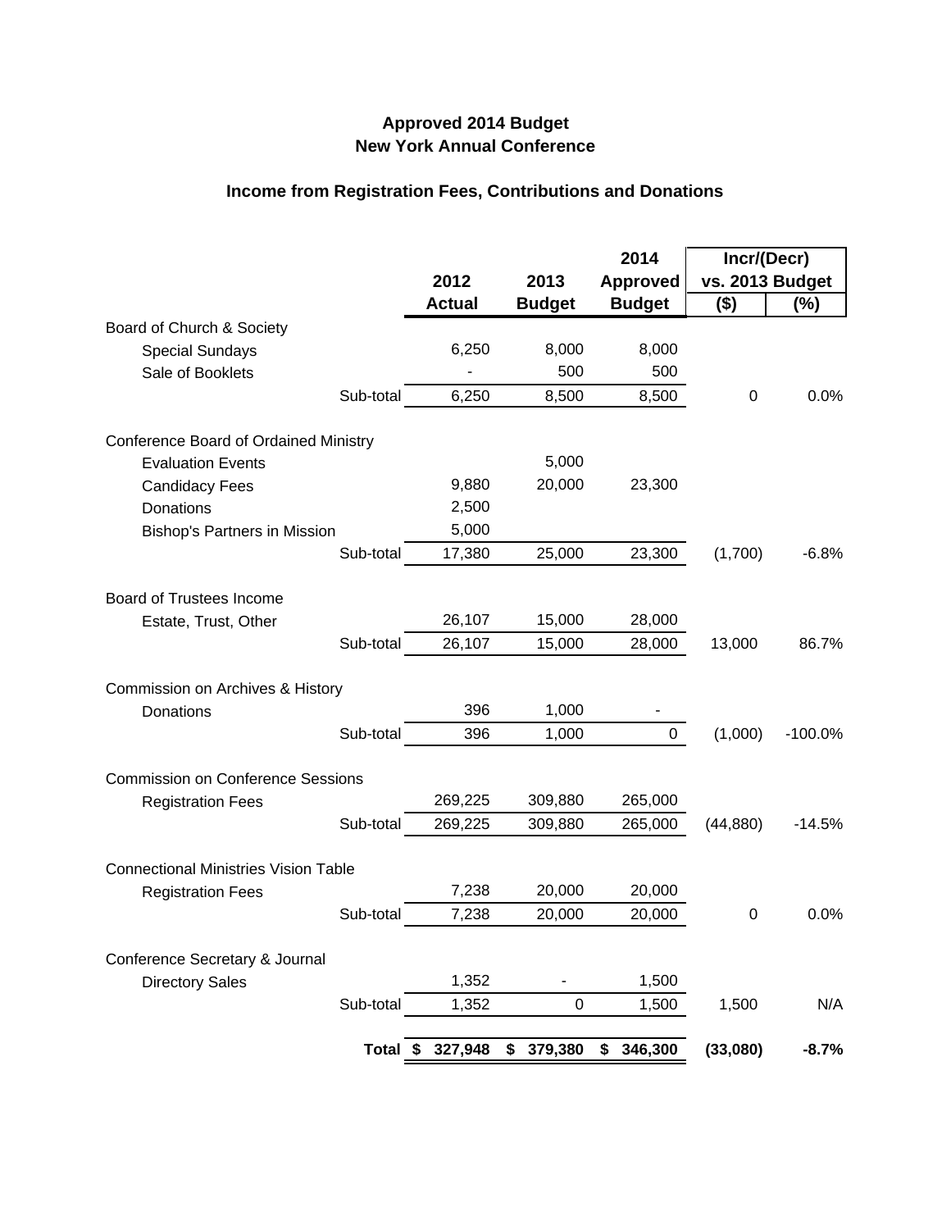## **Approved 2014 Budget New York Annual Conference**

## **Income from Registration Fees, Contributions and Donations**

|                                              |           |               |               | 2014            | Incr/(Decr)     |           |  |
|----------------------------------------------|-----------|---------------|---------------|-----------------|-----------------|-----------|--|
|                                              |           | 2012          | 2013          | <b>Approved</b> | vs. 2013 Budget |           |  |
|                                              |           | <b>Actual</b> | <b>Budget</b> | <b>Budget</b>   | \$)             | (%)       |  |
| Board of Church & Society                    |           |               |               |                 |                 |           |  |
| <b>Special Sundays</b>                       |           | 6,250         | 8,000         | 8,000           |                 |           |  |
| Sale of Booklets                             |           |               | 500           | 500             |                 |           |  |
|                                              | Sub-total | 6,250         | 8,500         | 8,500           | 0               | 0.0%      |  |
| <b>Conference Board of Ordained Ministry</b> |           |               |               |                 |                 |           |  |
| <b>Evaluation Events</b>                     |           |               | 5,000         |                 |                 |           |  |
| <b>Candidacy Fees</b>                        |           | 9,880         | 20,000        | 23,300          |                 |           |  |
| Donations                                    |           | 2,500         |               |                 |                 |           |  |
| <b>Bishop's Partners in Mission</b>          |           | 5,000         |               |                 |                 |           |  |
|                                              | Sub-total | 17,380        | 25,000        | 23,300          | (1,700)         | $-6.8%$   |  |
| <b>Board of Trustees Income</b>              |           |               |               |                 |                 |           |  |
|                                              |           | 26,107        | 15,000        | 28,000          |                 |           |  |
| Estate, Trust, Other                         | Sub-total |               |               |                 |                 | 86.7%     |  |
|                                              |           | 26,107        | 15,000        | 28,000          | 13,000          |           |  |
| Commission on Archives & History             |           |               |               |                 |                 |           |  |
| Donations                                    |           | 396           | 1,000         |                 |                 |           |  |
|                                              | Sub-total | 396           | 1,000         | $\mathbf 0$     | (1,000)         | $-100.0%$ |  |
| <b>Commission on Conference Sessions</b>     |           |               |               |                 |                 |           |  |
| <b>Registration Fees</b>                     |           | 269,225       | 309,880       | 265,000         |                 |           |  |
|                                              | Sub-total | 269,225       | 309,880       | 265,000         | (44, 880)       | $-14.5%$  |  |
| <b>Connectional Ministries Vision Table</b>  |           |               |               |                 |                 |           |  |
| <b>Registration Fees</b>                     |           | 7,238         | 20,000        | 20,000          |                 |           |  |
|                                              | Sub-total | 7,238         | 20,000        | 20,000          | 0               | 0.0%      |  |
|                                              |           |               |               |                 |                 |           |  |
| Conference Secretary & Journal               |           |               |               |                 |                 |           |  |
| <b>Directory Sales</b>                       |           | 1,352         |               | 1,500           |                 |           |  |
|                                              | Sub-total | 1,352         | 0             | 1,500           | 1,500           | N/A       |  |
|                                              | Total \$  | 327,948       | \$<br>379,380 | \$<br>346,300   | (33,080)        | $-8.7%$   |  |